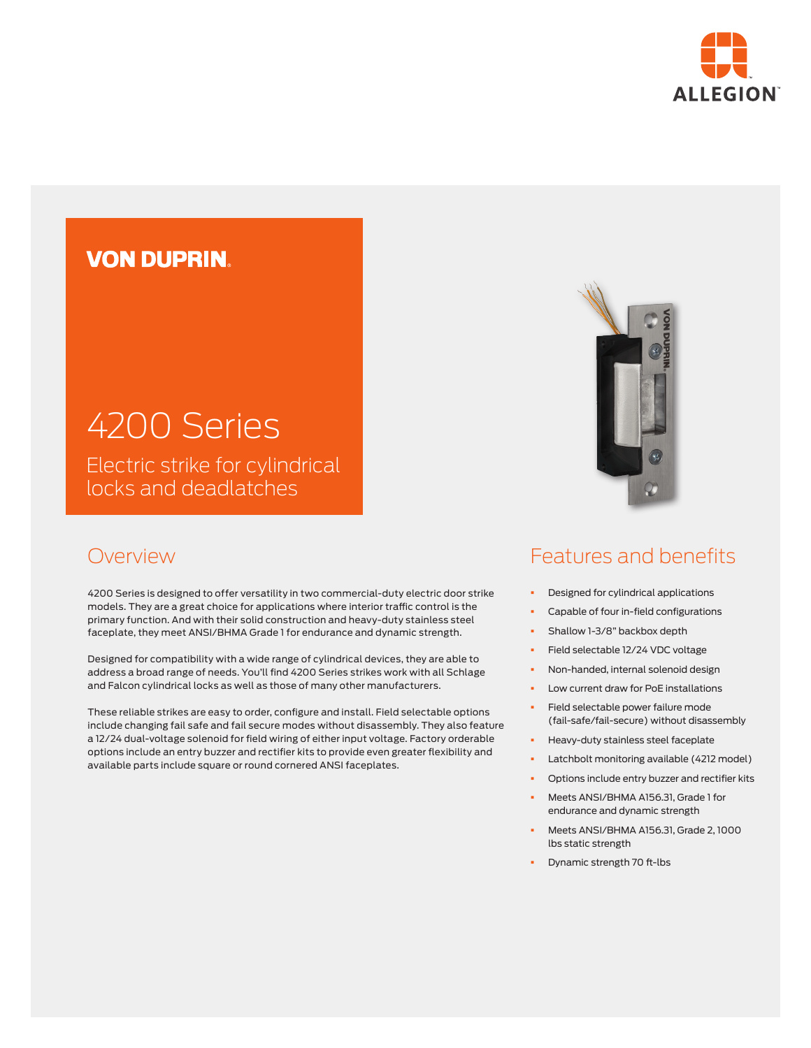

# **VON DUPRIN**

# 4200 Series Electric strike for cylindrical

locks and deadlatches

### Overview

4200 Series is designed to offer versatility in two commercial-duty electric door strike models. They are a great choice for applications where interior traffic control is the primary function. And with their solid construction and heavy-duty stainless steel faceplate, they meet ANSI/BHMA Grade 1 for endurance and dynamic strength.

Designed for compatibility with a wide range of cylindrical devices, they are able to address a broad range of needs. You'll find 4200 Series strikes work with all Schlage and Falcon cylindrical locks as well as those of many other manufacturers.

These reliable strikes are easy to order, configure and install. Field selectable options include changing fail safe and fail secure modes without disassembly. They also feature a 12/24 dual-voltage solenoid for field wiring of either input voltage. Factory orderable options include an entry buzzer and rectifier kits to provide even greater flexibility and available parts include square or round cornered ANSI faceplates.



### Features and benefits

- § Designed for cylindrical applications
- § Capable of four in-field configurations
- § Shallow 1-3/8" backbox depth
- § Field selectable 12/24 VDC voltage
- § Non-handed, internal solenoid design
- § Low current draw for PoE installations
- § Field selectable power failure mode (fail-safe/fail-secure) without disassembly
- § Heavy-duty stainless steel faceplate
- Latchbolt monitoring available (4212 model)
- Options include entry buzzer and rectifier kits
- § Meets ANSI/BHMA A156.31, Grade 1 for endurance and dynamic strength
- § Meets ANSI/BHMA A156.31, Grade 2, 1000 lbs static strength
- § Dynamic strength 70 ft-lbs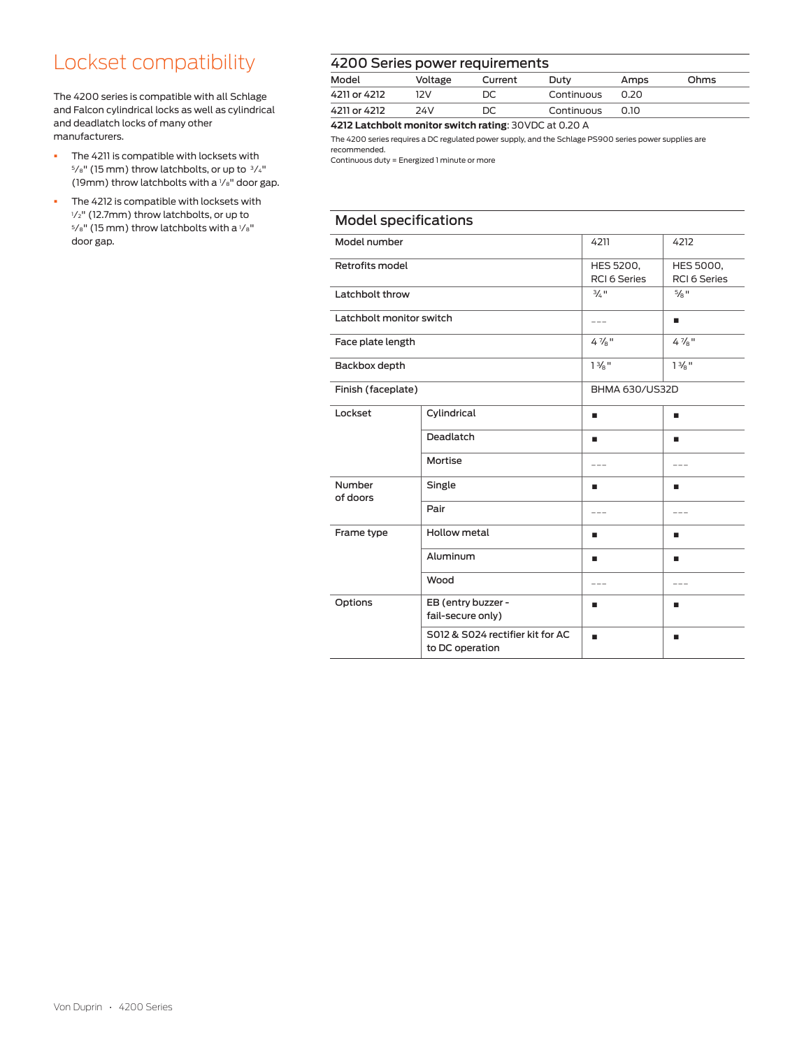# Lockset compatibility

The 4200 series is compatible with all Schlage and Falcon cylindrical locks as well as cylindrical and deadlatch locks of many other manufacturers.

- § The 4211 is compatible with locksets with 5/<sub>8</sub>" (15 mm) throw latchbolts, or up to  $3/4$ " (19mm) throw latchbolts with a 1 ⁄8" door gap.
- **•** The 4212 is compatible with locksets with 1 ⁄2" (12.7mm) throw latchbolts, or up to  $5/s$ " (15 mm) throw latchbolts with a  $1/s$ " door gap.

#### 4200 Series power requirements

| . _ _ _ _ _ _ _ _ _ _ _ |         |         |            |      |      |
|-------------------------|---------|---------|------------|------|------|
| Model                   | Voltage | Current | Duty       | Amps | Ohms |
| 4211 or 4212            | 171     | DC.     | Continuous | 0.20 |      |
| 4211 or 4212            | 74V     |         | Continuous | 0.10 |      |

**4212 Latchbolt monitor switch rating**: 30VDC at 0.20 A

The 4200 series requires a DC regulated power supply, and the Schlage PS900 series power supplies are recommended.

Continuous duty = Energized 1 minute or more

| <b>Model specifications</b> |                                                     |                                                                      |                     |  |
|-----------------------------|-----------------------------------------------------|----------------------------------------------------------------------|---------------------|--|
| Model number                |                                                     | 4211                                                                 | 4212                |  |
| Retrofits model             |                                                     | HES 5200,<br>HES 5000,<br><b>RCI 6 Series</b><br><b>RCI 6 Series</b> |                     |  |
| Latchbolt throw             |                                                     | $3/2$ $\frac{1}{2}$                                                  | $5/8$ $\frac{1}{2}$ |  |
| Latchbolt monitor switch    |                                                     | $- - -$                                                              | ٠                   |  |
| Face plate length           |                                                     | $4\frac{7}{8}$ "                                                     | $4\frac{7}{8}$ "    |  |
| Backbox depth               |                                                     | $1\frac{3}{8}$ "                                                     | $1\frac{3}{8}$ "    |  |
| Finish (faceplate)          |                                                     | <b>BHMA 630/US32D</b>                                                |                     |  |
| Lockset                     | Cylindrical                                         | ٠                                                                    | ٠                   |  |
|                             | Deadlatch                                           | ٠                                                                    | ٠                   |  |
|                             | Mortise                                             | $- - -$                                                              | ---                 |  |
| Number<br>of doors          | Single                                              | ٠                                                                    | ٠                   |  |
|                             | Pair                                                | $- - -$                                                              | $- - -$             |  |
| Frame type                  | Hollow metal                                        | ٠                                                                    | ٠                   |  |
|                             | Aluminum                                            | ٠                                                                    | ٠                   |  |
|                             | Wood                                                | $- - -$                                                              | $---$               |  |
| Options                     | EB (entry buzzer -<br>fail-secure only)             | п                                                                    | ٠                   |  |
|                             | S012 & S024 rectifier kit for AC<br>to DC operation | ٠                                                                    | ٠                   |  |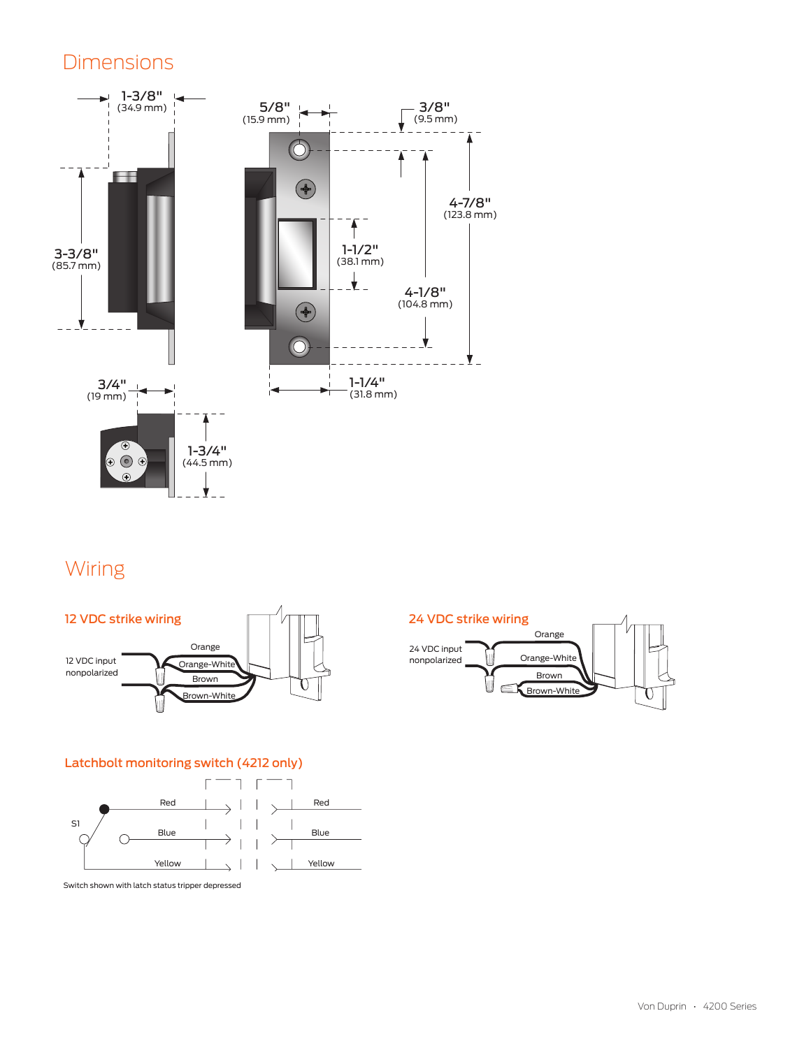### Dimensions



## Wiring



#### Latchbolt monitoring switch (4212 only)



Switch shown with latch status tripper depressed